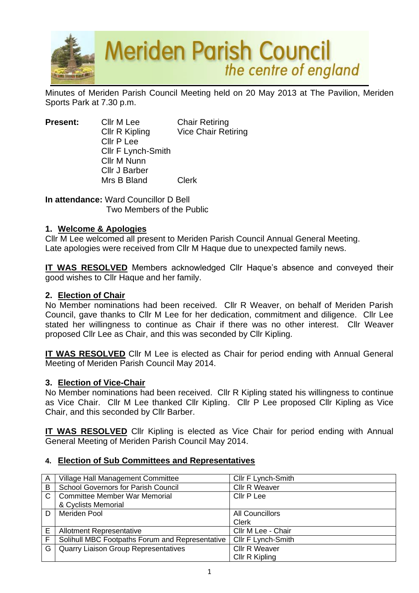

Minutes of Meriden Parish Council Meeting held on 20 May 2013 at The Pavilion, Meriden Sports Park at 7.30 p.m.

**Present:** Cllr M Lee Chair Retiring Cllr R Kipling Vice Chair Retiring Cllr P Lee Cllr F Lynch-Smith Cllr M Nunn Cllr J Barber Mrs B Bland Clerk

**In attendance:** Ward Councillor D Bell Two Members of the Public

## **1. Welcome & Apologies**

Cllr M Lee welcomed all present to Meriden Parish Council Annual General Meeting. Late apologies were received from Cllr M Haque due to unexpected family news.

**IT WAS RESOLVED** Members acknowledged Cllr Haque's absence and conveyed their good wishes to Cllr Haque and her family.

## **2. Election of Chair**

No Member nominations had been received. Cllr R Weaver, on behalf of Meriden Parish Council, gave thanks to Cllr M Lee for her dedication, commitment and diligence. Cllr Lee stated her willingness to continue as Chair if there was no other interest. Cllr Weaver proposed Cllr Lee as Chair, and this was seconded by Cllr Kipling.

**IT WAS RESOLVED** Cllr M Lee is elected as Chair for period ending with Annual General Meeting of Meriden Parish Council May 2014.

## **3. Election of Vice-Chair**

No Member nominations had been received. Cllr R Kipling stated his willingness to continue as Vice Chair. Cllr M Lee thanked Cllr Kipling. Cllr P Lee proposed Cllr Kipling as Vice Chair, and this seconded by Cllr Barber.

**IT WAS RESOLVED** Cllr Kipling is elected as Vice Chair for period ending with Annual General Meeting of Meriden Parish Council May 2014.

## **4. Election of Sub Committees and Representatives**

| A            | Village Hall Management Committee               | Cllr F Lynch-Smith     |
|--------------|-------------------------------------------------|------------------------|
| B            | <b>School Governors for Parish Council</b>      | <b>Cllr R Weaver</b>   |
| $\mathsf{C}$ | <b>Committee Member War Memorial</b>            | Cllr P Lee             |
|              | & Cyclists Memorial                             |                        |
| D            | Meriden Pool                                    | <b>All Councillors</b> |
|              |                                                 | <b>Clerk</b>           |
| E            | <b>Allotment Representative</b>                 | Cllr M Lee - Chair     |
| F            | Solihull MBC Footpaths Forum and Representative | Cllr F Lynch-Smith     |
| G '          | <b>Quarry Liaison Group Representatives</b>     | <b>Cllr R Weaver</b>   |
|              |                                                 | Cllr R Kipling         |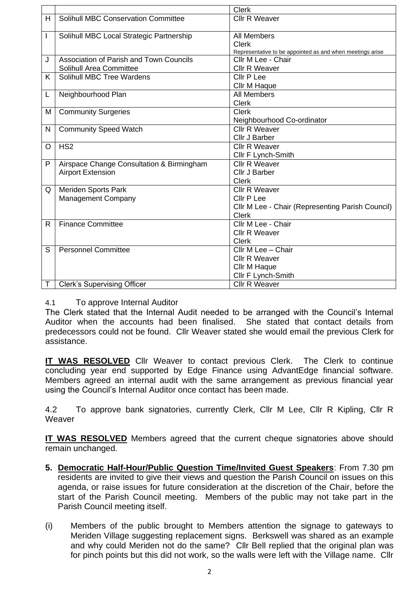|   |                                            | <b>Clerk</b>                                                              |
|---|--------------------------------------------|---------------------------------------------------------------------------|
| H | <b>Solihull MBC Conservation Committee</b> | <b>Cllr R Weaver</b>                                                      |
|   |                                            |                                                                           |
| I | Solihull MBC Local Strategic Partnership   | <b>All Members</b>                                                        |
|   |                                            | <b>Clerk</b><br>Representative to be appointed as and when meetings arise |
| J | Association of Parish and Town Councils    | Cllr M Lee - Chair                                                        |
|   | Solihull Area Committee                    | <b>Cllr R Weaver</b>                                                      |
| K | Solihull MBC Tree Wardens                  | Cllr P Lee                                                                |
|   |                                            | Cllr M Haque                                                              |
| L | Neighbourhood Plan                         | <b>All Members</b>                                                        |
|   |                                            | <b>Clerk</b>                                                              |
| M | <b>Community Surgeries</b>                 | <b>Clerk</b>                                                              |
|   |                                            | Neighbourhood Co-ordinator                                                |
| N |                                            | <b>Cllr R Weaver</b>                                                      |
|   | <b>Community Speed Watch</b>               | Cllr J Barber                                                             |
|   | HS <sub>2</sub>                            | <b>Cllr R Weaver</b>                                                      |
| O |                                            |                                                                           |
|   |                                            | Cllr F Lynch-Smith                                                        |
| P | Airspace Change Consultation & Birmingham  | <b>Cllr R Weaver</b>                                                      |
|   | <b>Airport Extension</b>                   | Cllr J Barber                                                             |
|   |                                            | <b>Clerk</b>                                                              |
| Q | Meriden Sports Park                        | <b>Cllr R Weaver</b>                                                      |
|   | <b>Management Company</b>                  | Cllr P Lee                                                                |
|   |                                            | Cllr M Lee - Chair (Representing Parish Council)                          |
|   |                                            | <b>Clerk</b>                                                              |
| R | <b>Finance Committee</b>                   | Cllr M Lee - Chair                                                        |
|   |                                            | <b>Cllr R Weaver</b>                                                      |
|   |                                            | Clerk                                                                     |
| S | <b>Personnel Committee</b>                 | Cllr M Lee - Chair                                                        |
|   |                                            | <b>Cllr R Weaver</b>                                                      |
|   |                                            | Cllr M Haque                                                              |
|   |                                            | Cllr F Lynch-Smith                                                        |
| Τ | <b>Clerk's Supervising Officer</b>         | <b>Cllr R Weaver</b>                                                      |

# 4.1 To approve Internal Auditor

The Clerk stated that the Internal Audit needed to be arranged with the Council's Internal Auditor when the accounts had been finalised. She stated that contact details from predecessors could not be found. Cllr Weaver stated she would email the previous Clerk for assistance.

**IT WAS RESOLVED** Cllr Weaver to contact previous Clerk. The Clerk to continue concluding year end supported by Edge Finance using AdvantEdge financial software. Members agreed an internal audit with the same arrangement as previous financial year using the Council's Internal Auditor once contact has been made.

4.2 To approve bank signatories, currently Clerk, Cllr M Lee, Cllr R Kipling, Cllr R **Weaver** 

**IT WAS RESOLVED** Members agreed that the current cheque signatories above should remain unchanged.

- **5. Democratic Half-Hour/Public Question Time/Invited Guest Speakers**: From 7.30 pm residents are invited to give their views and question the Parish Council on issues on this agenda, or raise issues for future consideration at the discretion of the Chair, before the start of the Parish Council meeting. Members of the public may not take part in the Parish Council meeting itself.
- (i) Members of the public brought to Members attention the signage to gateways to Meriden Village suggesting replacement signs. Berkswell was shared as an example and why could Meriden not do the same? Cllr Bell replied that the original plan was for pinch points but this did not work, so the walls were left with the Village name. Cllr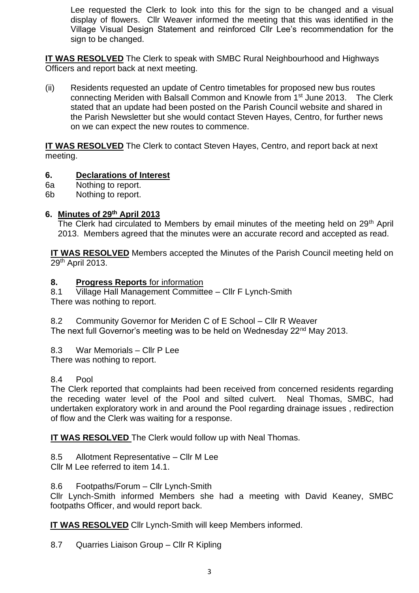Lee requested the Clerk to look into this for the sign to be changed and a visual display of flowers. Cllr Weaver informed the meeting that this was identified in the Village Visual Design Statement and reinforced Cllr Lee's recommendation for the sign to be changed.

**IT WAS RESOLVED** The Clerk to speak with SMBC Rural Neighbourhood and Highways Officers and report back at next meeting.

(ii) Residents requested an update of Centro timetables for proposed new bus routes connecting Meriden with Balsall Common and Knowle from 1st June 2013. The Clerk stated that an update had been posted on the Parish Council website and shared in the Parish Newsletter but she would contact Steven Hayes, Centro, for further news on we can expect the new routes to commence.

**IT WAS RESOLVED** The Clerk to contact Steven Hayes, Centro, and report back at next meeting.

# **6. Declarations of Interest**

- 6a Nothing to report.
- 6b Nothing to report.

# **6. Minutes of 29 th April 2013**

The Clerk had circulated to Members by email minutes of the meeting held on 29<sup>th</sup> April 2013. Members agreed that the minutes were an accurate record and accepted as read.

**IT WAS RESOLVED** Members accepted the Minutes of the Parish Council meeting held on 29th April 2013.

## **8. Progress Reports** for information

8.1 Village Hall Management Committee – Cllr F Lynch-Smith There was nothing to report.

- 8.2 Community Governor for Meriden C of E School Cllr R Weaver The next full Governor's meeting was to be held on Wednesday 22<sup>nd</sup> May 2013.
- 8.3 War Memorials Cllr P Lee

There was nothing to report.

# 8.4 Pool

The Clerk reported that complaints had been received from concerned residents regarding the receding water level of the Pool and silted culvert. Neal Thomas, SMBC, had undertaken exploratory work in and around the Pool regarding drainage issues , redirection of flow and the Clerk was waiting for a response.

**IT WAS RESOLVED** The Clerk would follow up with Neal Thomas.

8.5 Allotment Representative – Cllr M Lee Cllr M Lee referred to item 14.1.

8.6 Footpaths/Forum – Cllr Lynch-Smith

Cllr Lynch-Smith informed Members she had a meeting with David Keaney, SMBC footpaths Officer, and would report back.

**IT WAS RESOLVED** Cllr Lynch-Smith will keep Members informed.

8.7 Quarries Liaison Group – Cllr R Kipling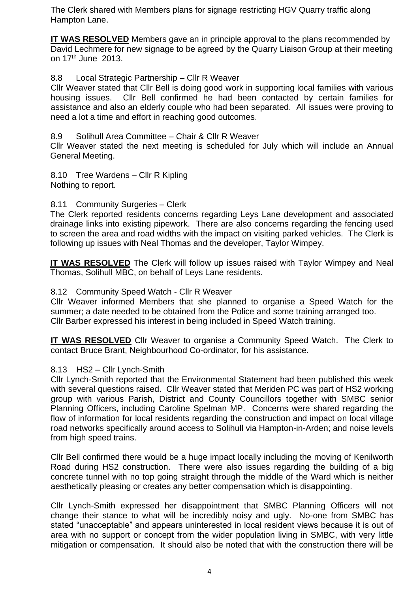The Clerk shared with Members plans for signage restricting HGV Quarry traffic along Hampton Lane.

**IT WAS RESOLVED** Members gave an in principle approval to the plans recommended by David Lechmere for new signage to be agreed by the Quarry Liaison Group at their meeting on 17th June 2013.

## 8.8 Local Strategic Partnership – Cllr R Weaver

Cllr Weaver stated that Cllr Bell is doing good work in supporting local families with various housing issues. Cllr Bell confirmed he had been contacted by certain families for assistance and also an elderly couple who had been separated. All issues were proving to need a lot a time and effort in reaching good outcomes.

8.9 Solihull Area Committee – Chair & Cllr R Weaver

Cllr Weaver stated the next meeting is scheduled for July which will include an Annual General Meeting.

8.10 Tree Wardens – Cllr R Kipling Nothing to report.

## 8.11 Community Surgeries – Clerk

The Clerk reported residents concerns regarding Leys Lane development and associated drainage links into existing pipework. There are also concerns regarding the fencing used to screen the area and road widths with the impact on visiting parked vehicles. The Clerk is following up issues with Neal Thomas and the developer, Taylor Wimpey.

**IT WAS RESOLVED** The Clerk will follow up issues raised with Taylor Wimpey and Neal Thomas, Solihull MBC, on behalf of Leys Lane residents.

## 8.12 Community Speed Watch - Cllr R Weaver

Cllr Weaver informed Members that she planned to organise a Speed Watch for the summer; a date needed to be obtained from the Police and some training arranged too. Cllr Barber expressed his interest in being included in Speed Watch training.

**IT WAS RESOLVED** Cllr Weaver to organise a Community Speed Watch. The Clerk to contact Bruce Brant, Neighbourhood Co-ordinator, for his assistance.

## 8.13 HS2 – Cllr Lynch-Smith

Cllr Lynch-Smith reported that the Environmental Statement had been published this week with several questions raised. Cllr Weaver stated that Meriden PC was part of HS2 working group with various Parish, District and County Councillors together with SMBC senior Planning Officers, including Caroline Spelman MP. Concerns were shared regarding the flow of information for local residents regarding the construction and impact on local village road networks specifically around access to Solihull via Hampton-in-Arden; and noise levels from high speed trains.

Cllr Bell confirmed there would be a huge impact locally including the moving of Kenilworth Road during HS2 construction. There were also issues regarding the building of a big concrete tunnel with no top going straight through the middle of the Ward which is neither aesthetically pleasing or creates any better compensation which is disappointing.

Cllr Lynch-Smith expressed her disappointment that SMBC Planning Officers will not change their stance to what will be incredibly noisy and ugly. No-one from SMBC has stated "unacceptable" and appears uninterested in local resident views because it is out of area with no support or concept from the wider population living in SMBC, with very little mitigation or compensation. It should also be noted that with the construction there will be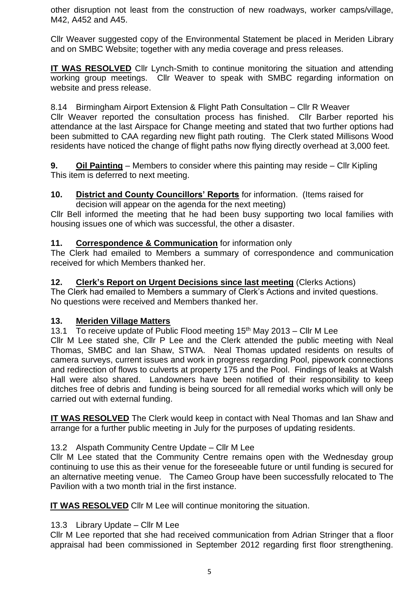other disruption not least from the construction of new roadways, worker camps/village, M42, A452 and A45.

Cllr Weaver suggested copy of the Environmental Statement be placed in Meriden Library and on SMBC Website; together with any media coverage and press releases.

**IT WAS RESOLVED** Cllr Lynch-Smith to continue monitoring the situation and attending working group meetings. Cllr Weaver to speak with SMBC regarding information on website and press release.

8.14 Birmingham Airport Extension & Flight Path Consultation – Cllr R Weaver Cllr Weaver reported the consultation process has finished. Cllr Barber reported his attendance at the last Airspace for Change meeting and stated that two further options had been submitted to CAA regarding new flight path routing. The Clerk stated Millisons Wood residents have noticed the change of flight paths now flying directly overhead at 3,000 feet.

**9. Oil Painting** – Members to consider where this painting may reside – Cllr Kipling This item is deferred to next meeting.

# **10. District and County Councillors' Reports** for information. (Items raised for

decision will appear on the agenda for the next meeting)

Cllr Bell informed the meeting that he had been busy supporting two local families with housing issues one of which was successful, the other a disaster.

# **11. Correspondence & Communication** for information only

The Clerk had emailed to Members a summary of correspondence and communication received for which Members thanked her.

# **12. Clerk's Report on Urgent Decisions since last meeting** (Clerks Actions)

The Clerk had emailed to Members a summary of Clerk's Actions and invited questions. No questions were received and Members thanked her.

# **13. Meriden Village Matters**

13.1 To receive update of Public Flood meeting  $15<sup>th</sup>$  May 2013 – Cllr M Lee Cllr M Lee stated she, Cllr P Lee and the Clerk attended the public meeting with Neal Thomas, SMBC and Ian Shaw, STWA. Neal Thomas updated residents on results of camera surveys, current issues and work in progress regarding Pool, pipework connections and redirection of flows to culverts at property 175 and the Pool. Findings of leaks at Walsh Hall were also shared. Landowners have been notified of their responsibility to keep ditches free of debris and funding is being sourced for all remedial works which will only be carried out with external funding.

**IT WAS RESOLVED** The Clerk would keep in contact with Neal Thomas and Ian Shaw and arrange for a further public meeting in July for the purposes of updating residents.

# 13.2 Alspath Community Centre Update – Cllr M Lee

Cllr M Lee stated that the Community Centre remains open with the Wednesday group continuing to use this as their venue for the foreseeable future or until funding is secured for an alternative meeting venue. The Cameo Group have been successfully relocated to The Pavilion with a two month trial in the first instance.

**IT WAS RESOLVED** Cllr M Lee will continue monitoring the situation.

# 13.3 Library Update – Cllr M Lee

Cllr M Lee reported that she had received communication from Adrian Stringer that a floor appraisal had been commissioned in September 2012 regarding first floor strengthening.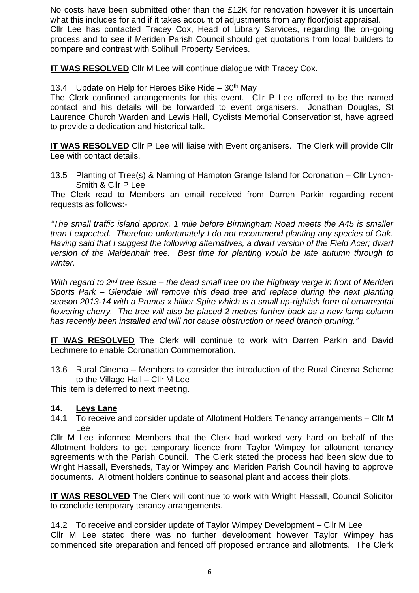No costs have been submitted other than the £12K for renovation however it is uncertain what this includes for and if it takes account of adjustments from any floor/joist appraisal. Cllr Lee has contacted Tracey Cox, Head of Library Services, regarding the on-going process and to see if Meriden Parish Council should get quotations from local builders to compare and contrast with Solihull Property Services.

**IT WAS RESOLVED** Cllr M Lee will continue dialogue with Tracey Cox.

13.4 Update on Help for Heroes Bike Ride –  $30<sup>th</sup>$  May

The Clerk confirmed arrangements for this event. Cllr P Lee offered to be the named contact and his details will be forwarded to event organisers. Jonathan Douglas, St Laurence Church Warden and Lewis Hall, Cyclists Memorial Conservationist, have agreed to provide a dedication and historical talk.

**IT WAS RESOLVED** Cllr P Lee will liaise with Event organisers. The Clerk will provide Cllr Lee with contact details.

13.5 Planting of Tree(s) & Naming of Hampton Grange Island for Coronation – Cllr Lynch-Smith & Cllr P Lee

The Clerk read to Members an email received from Darren Parkin regarding recent requests as follows:-

*"The small traffic island approx. 1 mile before Birmingham Road meets the A45 is smaller than I expected. Therefore unfortunately I do not recommend planting any species of Oak. Having said that I suggest the following alternatives, a dwarf version of the Field Acer; dwarf version of the Maidenhair tree. Best time for planting would be late autumn through to winter.*

*With regard to 2nd tree issue – the dead small tree on the Highway verge in front of Meriden Sports Park – Glendale will remove this dead tree and replace during the next planting season 2013-14 with a Prunus x hillier Spire which is a small up-rightish form of ornamental flowering cherry. The tree will also be placed 2 metres further back as a new lamp column has recently been installed and will not cause obstruction or need branch pruning."*

**IT WAS RESOLVED** The Clerk will continue to work with Darren Parkin and David Lechmere to enable Coronation Commemoration.

13.6 Rural Cinema – Members to consider the introduction of the Rural Cinema Scheme to the Village Hall – Cllr M Lee

This item is deferred to next meeting.

## **14. Leys Lane**

14.1 To receive and consider update of Allotment Holders Tenancy arrangements – Cllr M Lee

Cllr M Lee informed Members that the Clerk had worked very hard on behalf of the Allotment holders to get temporary licence from Taylor Wimpey for allotment tenancy agreements with the Parish Council. The Clerk stated the process had been slow due to Wright Hassall, Eversheds, Taylor Wimpey and Meriden Parish Council having to approve documents. Allotment holders continue to seasonal plant and access their plots.

**IT WAS RESOLVED** The Clerk will continue to work with Wright Hassall, Council Solicitor to conclude temporary tenancy arrangements.

14.2 To receive and consider update of Taylor Wimpey Development – Cllr M Lee Cllr M Lee stated there was no further development however Taylor Wimpey has commenced site preparation and fenced off proposed entrance and allotments. The Clerk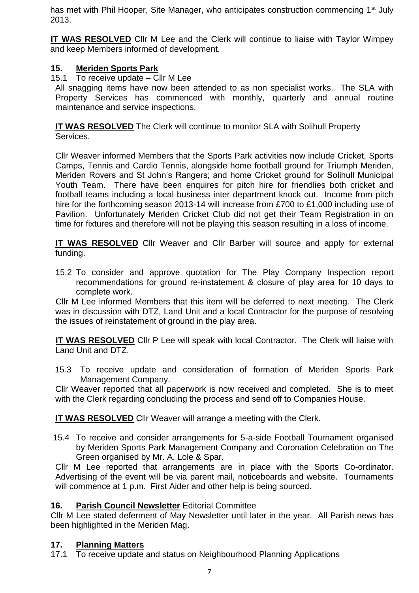has met with Phil Hooper, Site Manager, who anticipates construction commencing 1<sup>st</sup> July 2013.

**IT WAS RESOLVED** Cllr M Lee and the Clerk will continue to liaise with Taylor Wimpey and keep Members informed of development.

# **15. Meriden Sports Park**

15.1 To receive update – Cllr M Lee

All snagging items have now been attended to as non specialist works. The SLA with Property Services has commenced with monthly, quarterly and annual routine maintenance and service inspections.

**IT WAS RESOLVED** The Clerk will continue to monitor SLA with Solihull Property Services.

Cllr Weaver informed Members that the Sports Park activities now include Cricket, Sports Camps, Tennis and Cardio Tennis, alongside home football ground for Triumph Meriden, Meriden Rovers and St John's Rangers; and home Cricket ground for Solihull Municipal Youth Team. There have been enquires for pitch hire for friendlies both cricket and football teams including a local business inter department knock out. Income from pitch hire for the forthcoming season 2013-14 will increase from £700 to £1,000 including use of Pavilion. Unfortunately Meriden Cricket Club did not get their Team Registration in on time for fixtures and therefore will not be playing this season resulting in a loss of income.

**IT WAS RESOLVED** Cllr Weaver and Cllr Barber will source and apply for external funding.

15.2 To consider and approve quotation for The Play Company Inspection report recommendations for ground re-instatement & closure of play area for 10 days to complete work.

Cllr M Lee informed Members that this item will be deferred to next meeting. The Clerk was in discussion with DTZ, Land Unit and a local Contractor for the purpose of resolving the issues of reinstatement of ground in the play area.

**IT WAS RESOLVED** Cllr P Lee will speak with local Contractor. The Clerk will liaise with Land Unit and DTZ.

15.3 To receive update and consideration of formation of Meriden Sports Park Management Company.

Cllr Weaver reported that all paperwork is now received and completed. She is to meet with the Clerk regarding concluding the process and send off to Companies House.

**IT WAS RESOLVED** Cllr Weaver will arrange a meeting with the Clerk.

15.4 To receive and consider arrangements for 5-a-side Football Tournament organised by Meriden Sports Park Management Company and Coronation Celebration on The Green organised by Mr. A. Lole & Spar.

Cllr M Lee reported that arrangements are in place with the Sports Co-ordinator. Advertising of the event will be via parent mail, noticeboards and website. Tournaments will commence at 1 p.m. First Aider and other help is being sourced.

# **16. Parish Council Newsletter** Editorial Committee

Cllr M Lee stated deferment of May Newsletter until later in the year. All Parish news has been highlighted in the Meriden Mag.

# **17. Planning Matters**

17.1 To receive update and status on Neighbourhood Planning Applications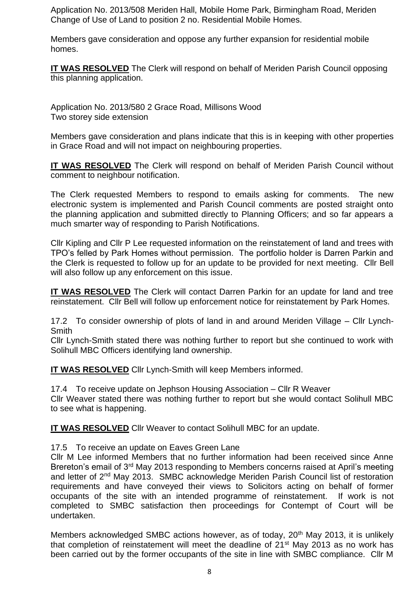Application No. 2013/508 Meriden Hall, Mobile Home Park, Birmingham Road, Meriden Change of Use of Land to position 2 no. Residential Mobile Homes.

Members gave consideration and oppose any further expansion for residential mobile homes.

**IT WAS RESOLVED** The Clerk will respond on behalf of Meriden Parish Council opposing this planning application.

Application No. 2013/580 2 Grace Road, Millisons Wood Two storey side extension

Members gave consideration and plans indicate that this is in keeping with other properties in Grace Road and will not impact on neighbouring properties.

**IT WAS RESOLVED** The Clerk will respond on behalf of Meriden Parish Council without comment to neighbour notification.

The Clerk requested Members to respond to emails asking for comments. The new electronic system is implemented and Parish Council comments are posted straight onto the planning application and submitted directly to Planning Officers; and so far appears a much smarter way of responding to Parish Notifications.

Cllr Kipling and Cllr P Lee requested information on the reinstatement of land and trees with TPO's felled by Park Homes without permission. The portfolio holder is Darren Parkin and the Clerk is requested to follow up for an update to be provided for next meeting. Cllr Bell will also follow up any enforcement on this issue.

**IT WAS RESOLVED** The Clerk will contact Darren Parkin for an update for land and tree reinstatement. Cllr Bell will follow up enforcement notice for reinstatement by Park Homes.

17.2 To consider ownership of plots of land in and around Meriden Village – Cllr Lynch-**Smith** 

Cllr Lynch-Smith stated there was nothing further to report but she continued to work with Solihull MBC Officers identifying land ownership.

**IT WAS RESOLVED** Cllr Lynch-Smith will keep Members informed.

17.4 To receive update on Jephson Housing Association – Cllr R Weaver Cllr Weaver stated there was nothing further to report but she would contact Solihull MBC to see what is happening.

**IT WAS RESOLVED** Cllr Weaver to contact Solihull MBC for an update.

17.5 To receive an update on Eaves Green Lane

Cllr M Lee informed Members that no further information had been received since Anne Brereton's email of 3<sup>rd</sup> May 2013 responding to Members concerns raised at April's meeting and letter of 2nd May 2013. SMBC acknowledge Meriden Parish Council list of restoration requirements and have conveyed their views to Solicitors acting on behalf of former occupants of the site with an intended programme of reinstatement. If work is not completed to SMBC satisfaction then proceedings for Contempt of Court will be undertaken.

Members acknowledged SMBC actions however, as of today, 20<sup>th</sup> May 2013, it is unlikely that completion of reinstatement will meet the deadline of 21<sup>st</sup> May 2013 as no work has been carried out by the former occupants of the site in line with SMBC compliance. Cllr M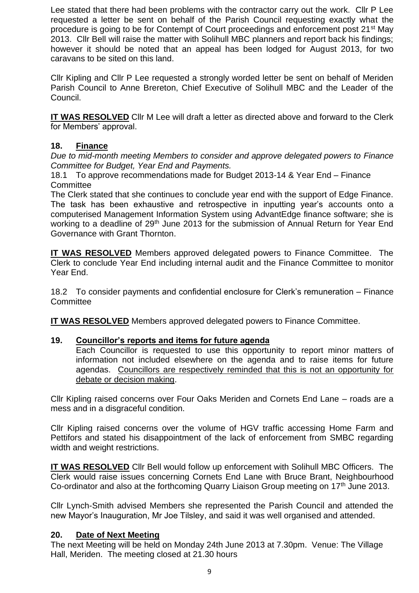Lee stated that there had been problems with the contractor carry out the work. Cllr P Lee requested a letter be sent on behalf of the Parish Council requesting exactly what the procedure is going to be for Contempt of Court proceedings and enforcement post 21st May 2013. Cllr Bell will raise the matter with Solihull MBC planners and report back his findings; however it should be noted that an appeal has been lodged for August 2013, for two caravans to be sited on this land.

Cllr Kipling and Cllr P Lee requested a strongly worded letter be sent on behalf of Meriden Parish Council to Anne Brereton, Chief Executive of Solihull MBC and the Leader of the Council.

**IT WAS RESOLVED** Cllr M Lee will draft a letter as directed above and forward to the Clerk for Members' approval.

## **18. Finance**

*Due to mid-month meeting Members to consider and approve delegated powers to Finance Committee for Budget, Year End and Payments.*

18.1 To approve recommendations made for Budget 2013-14 & Year End – Finance **Committee** 

The Clerk stated that she continues to conclude year end with the support of Edge Finance. The task has been exhaustive and retrospective in inputting year's accounts onto a computerised Management Information System using AdvantEdge finance software; she is working to a deadline of 29<sup>th</sup> June 2013 for the submission of Annual Return for Year End Governance with Grant Thornton.

**IT WAS RESOLVED** Members approved delegated powers to Finance Committee. The Clerk to conclude Year End including internal audit and the Finance Committee to monitor Year End.

18.2 To consider payments and confidential enclosure for Clerk's remuneration – Finance **Committee** 

**IT WAS RESOLVED** Members approved delegated powers to Finance Committee.

## **19. Councillor's reports and items for future agenda**

Each Councillor is requested to use this opportunity to report minor matters of information not included elsewhere on the agenda and to raise items for future agendas. Councillors are respectively reminded that this is not an opportunity for debate or decision making.

Cllr Kipling raised concerns over Four Oaks Meriden and Cornets End Lane – roads are a mess and in a disgraceful condition.

Cllr Kipling raised concerns over the volume of HGV traffic accessing Home Farm and Pettifors and stated his disappointment of the lack of enforcement from SMBC regarding width and weight restrictions.

**IT WAS RESOLVED** Cllr Bell would follow up enforcement with Solihull MBC Officers. The Clerk would raise issues concerning Cornets End Lane with Bruce Brant, Neighbourhood Co-ordinator and also at the forthcoming Quarry Liaison Group meeting on 17<sup>th</sup> June 2013.

Cllr Lynch-Smith advised Members she represented the Parish Council and attended the new Mayor's Inauguration, Mr Joe Tilsley, and said it was well organised and attended.

## **20. Date of Next Meeting**

The next Meeting will be held on Monday 24th June 2013 at 7.30pm. Venue: The Village Hall, Meriden. The meeting closed at 21.30 hours